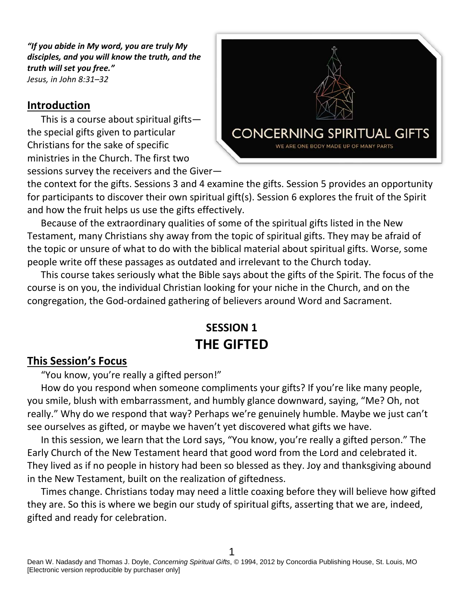*"If you abide in My word, you are truly My disciples, and you will know the truth, and the truth will set you free." Jesus, in John 8:31–32*

#### **Introduction**

This is a course about spiritual gifts the special gifts given to particular Christians for the sake of specific ministries in the Church. The first two sessions survey the receivers and the Giver—



the context for the gifts. Sessions 3 and 4 examine the gifts. Session 5 provides an opportunity for participants to discover their own spiritual gift(s). Session 6 explores the fruit of the Spirit and how the fruit helps us use the gifts effectively.

Because of the extraordinary qualities of some of the spiritual gifts listed in the New Testament, many Christians shy away from the topic of spiritual gifts. They may be afraid of the topic or unsure of what to do with the biblical material about spiritual gifts. Worse, some people write off these passages as outdated and irrelevant to the Church today.

This course takes seriously what the Bible says about the gifts of the Spirit. The focus of the course is on you, the individual Christian looking for your niche in the Church, and on the congregation, the God-ordained gathering of believers around Word and Sacrament.

# **SESSION 1 THE GIFTED**

#### **This Session's Focus**

"You know, you're really a gifted person!"

How do you respond when someone compliments your gifts? If you're like many people, you smile, blush with embarrassment, and humbly glance downward, saying, "Me? Oh, not really." Why do we respond that way? Perhaps we're genuinely humble. Maybe we just can't see ourselves as gifted, or maybe we haven't yet discovered what gifts we have.

In this session, we learn that the Lord says, "You know, you're really a gifted person." The Early Church of the New Testament heard that good word from the Lord and celebrated it. They lived as if no people in history had been so blessed as they. Joy and thanksgiving abound in the New Testament, built on the realization of giftedness.

Times change. Christians today may need a little coaxing before they will believe how gifted they are. So this is where we begin our study of spiritual gifts, asserting that we are, indeed, gifted and ready for celebration.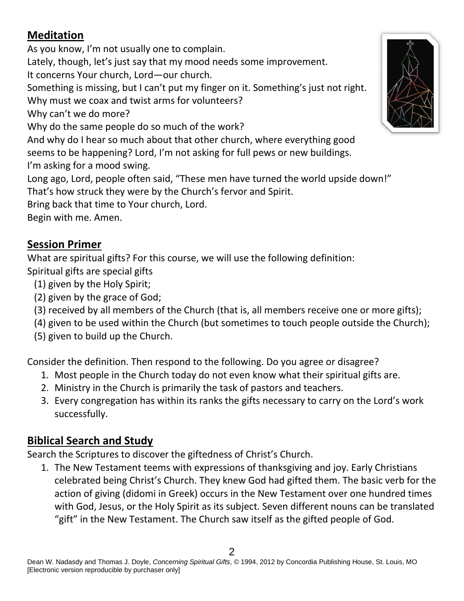## **Meditation**

As you know, I'm not usually one to complain. Lately, though, let's just say that my mood needs some improvement. It concerns Your church, Lord—our church. Something is missing, but I can't put my finger on it. Something's just not right. Why must we coax and twist arms for volunteers? Why can't we do more? Why do the same people do so much of the work? And why do I hear so much about that other church, where everything good seems to be happening? Lord, I'm not asking for full pews or new buildings. I'm asking for a mood swing. Long ago, Lord, people often said, "These men have turned the world upside down!" That's how struck they were by the Church's fervor and Spirit. Bring back that time to Your church, Lord.

Begin with me. Amen.

#### **Session Primer**

What are spiritual gifts? For this course, we will use the following definition: Spiritual gifts are special gifts

- (1) given by the Holy Spirit;
- (2) given by the grace of God;
- (3) received by all members of the Church (that is, all members receive one or more gifts);
- (4) given to be used within the Church (but sometimes to touch people outside the Church);
- (5) given to build up the Church.

Consider the definition. Then respond to the following. Do you agree or disagree?

- 1. Most people in the Church today do not even know what their spiritual gifts are.
- 2. Ministry in the Church is primarily the task of pastors and teachers.
- 3. Every congregation has within its ranks the gifts necessary to carry on the Lord's work successfully.

## **Biblical Search and Study**

Search the Scriptures to discover the giftedness of Christ's Church.

1. The New Testament teems with expressions of thanksgiving and joy. Early Christians celebrated being Christ's Church. They knew God had gifted them. The basic verb for the action of giving (didomi in Greek) occurs in the New Testament over one hundred times with God, Jesus, or the Holy Spirit as its subject. Seven different nouns can be translated "gift" in the New Testament. The Church saw itself as the gifted people of God.

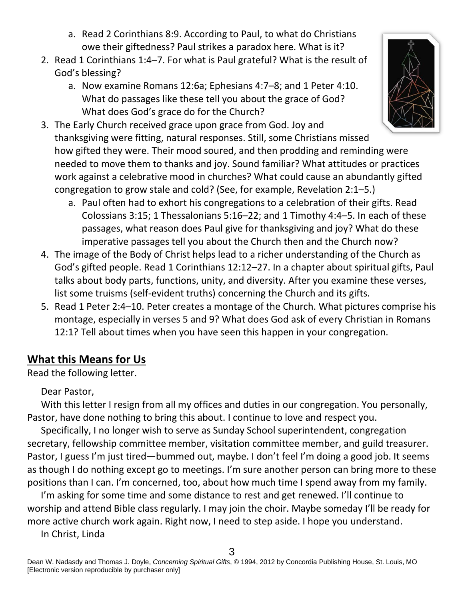- a. Read 2 Corinthians 8:9. According to Paul, to what do Christians owe their giftedness? Paul strikes a paradox here. What is it?
- 2. Read 1 Corinthians 1:4–7. For what is Paul grateful? What is the result of God's blessing?
	- a. Now examine Romans 12:6a; Ephesians 4:7–8; and 1 Peter 4:10. What do passages like these tell you about the grace of God? What does God's grace do for the Church?
- 3. The Early Church received grace upon grace from God. Joy and thanksgiving were fitting, natural responses. Still, some Christians missed how gifted they were. Their mood soured, and then prodding and reminding were needed to move them to thanks and joy. Sound familiar? What attitudes or practices work against a celebrative mood in churches? What could cause an abundantly gifted congregation to grow stale and cold? (See, for example, Revelation 2:1–5.)
	- a. Paul often had to exhort his congregations to a celebration of their gifts. Read Colossians 3:15; 1 Thessalonians 5:16–22; and 1 Timothy 4:4–5. In each of these passages, what reason does Paul give for thanksgiving and joy? What do these imperative passages tell you about the Church then and the Church now?
- 4. The image of the Body of Christ helps lead to a richer understanding of the Church as God's gifted people. Read 1 Corinthians 12:12–27. In a chapter about spiritual gifts, Paul talks about body parts, functions, unity, and diversity. After you examine these verses, list some truisms (self-evident truths) concerning the Church and its gifts.
- 5. Read 1 Peter 2:4–10. Peter creates a montage of the Church. What pictures comprise his montage, especially in verses 5 and 9? What does God ask of every Christian in Romans 12:1? Tell about times when you have seen this happen in your congregation.

#### **What this Means for Us**

Read the following letter.

Dear Pastor,

With this letter I resign from all my offices and duties in our congregation. You personally, Pastor, have done nothing to bring this about. I continue to love and respect you.

Specifically, I no longer wish to serve as Sunday School superintendent, congregation secretary, fellowship committee member, visitation committee member, and guild treasurer. Pastor, I guess I'm just tired—bummed out, maybe. I don't feel I'm doing a good job. It seems as though I do nothing except go to meetings. I'm sure another person can bring more to these positions than I can. I'm concerned, too, about how much time I spend away from my family.

I'm asking for some time and some distance to rest and get renewed. I'll continue to worship and attend Bible class regularly. I may join the choir. Maybe someday I'll be ready for more active church work again. Right now, I need to step aside. I hope you understand.

In Christ, Linda